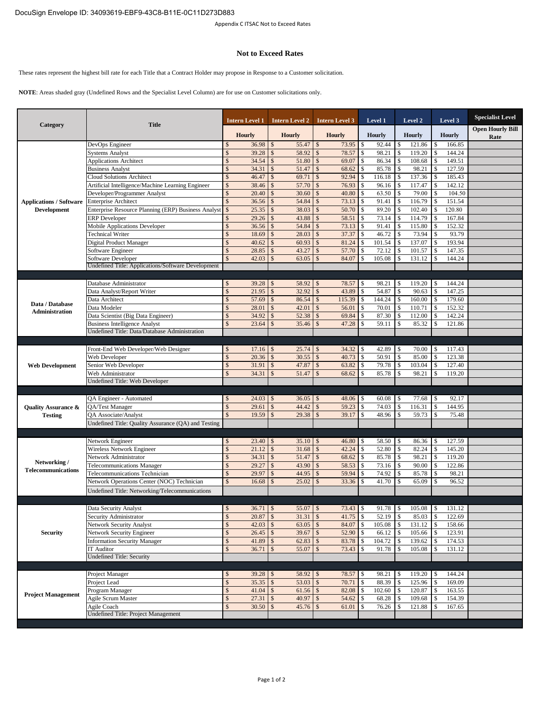## **Not to Exceed Rates**

These rates represent the highest bill rate for each Title that a Contract Holder may propose in Response to a Customer solicitation.

**NOTE**: Areas shaded gray (Undefined Rows and the Specialist Level Column) are for use on Customer solicitations only.

| Category                                             | <b>Title</b>                                        |                                | Intern Level 1 |               | <b>Intern Level 2</b> |                    | <b>Intern Level 3</b> |          | Level 1         |                                     | Level 2          |     | Level 3          | <b>Specialist Level</b>         |
|------------------------------------------------------|-----------------------------------------------------|--------------------------------|----------------|---------------|-----------------------|--------------------|-----------------------|----------|-----------------|-------------------------------------|------------------|-----|------------------|---------------------------------|
|                                                      |                                                     |                                | <b>Hourly</b>  |               | <b>Hourly</b>         |                    | <b>Hourly</b>         |          | <b>Hourly</b>   |                                     | <b>Hourly</b>    |     | <b>Hourly</b>    | <b>Open Hourly Bill</b><br>Rate |
| <b>Applications / Software</b><br><b>Development</b> | DevOps Engineer                                     | \$                             | 36.98          | $\mathcal{S}$ | 55.47                 | $\mathbb{S}$       | 73.95                 | \$       | 92.44           | \$                                  | 121.86           | \$  | 166.85           |                                 |
|                                                      | <b>Systems Analyst</b>                              | $\mathcal{S}$                  | 39.28          | \$            | 58.92                 | $\mathbb{S}$       | 78.57                 | \$       | 98.21           | $\mathbb{S}$                        | 119.20           | \$  | 144.24           |                                 |
|                                                      | <b>Applications Architect</b>                       | \$                             | 34.54          | $\mathcal{S}$ | $51.80$ \$            |                    | 69.07                 | \$       | 86.34           | $\blacksquare$                      | 108.68           | \$  | 149.51           |                                 |
|                                                      | <b>Business Analyst</b>                             | $\mathcal{S}$                  | 34.31          | \$            | 51.47                 | $\mathbf{s}$       | 68.62                 | \$       | 85.78           | $\mathbb{S}$                        | 98.21            | \$  | 127.59           |                                 |
|                                                      | <b>Cloud Solutions Architect</b>                    | $\mathcal{S}$                  | 46.47          | \$            | 69.71                 | $\mathcal{S}$      | 92.94                 | \$       | 116.18          | \$                                  | 137.36           |     | 185.43           |                                 |
|                                                      | Artificial Intelligence/Machine Learning Engineer   | $\mathcal{S}$                  | 38.46          |               | 57.70                 | $\mathbf{s}$       | 76.93                 | \$       | 96.16           | $\mathcal{S}$                       | 117.47           |     | 142.12           |                                 |
|                                                      | Developer/Programmer Analyst                        | \$                             | 20.40          | $\mathcal{S}$ | 30.60                 | $\mathcal{S}$      | 40.80                 | \$       | 63.50           | $\mathbb{S}$                        | 79.00            | \$. | 104.50           |                                 |
|                                                      | <b>Enterprise Architect</b>                         | $\hat{\mathbf{S}}$             | 36.56          | $\mathcal{S}$ | 54.84                 | $\mathbb{S}$       | 73.13                 | \$       | 91.41           | $\mathcal{S}$                       | 116.79           |     | 151.54           |                                 |
|                                                      | Enterprise Resource Planning (ERP) Business Analyst | \$                             | 25.35          | $\mathcal{S}$ | 38.03                 | $\mathbb{S}$       | 50.70                 | \$       | 89.20           | $\mathbb{S}$                        | 102.40           | \$  | 120.80           |                                 |
|                                                      | <b>ERP</b> Developer                                | $\mathcal{S}$                  | 29.26          |               | 43.88                 | $\mathbb{S}$       | 58.51                 | \$       | 73.14           | $\mathcal{S}$                       | 114.79           |     | 167.84           |                                 |
|                                                      | <b>Mobile Applications Developer</b>                | $\mathcal{S}$<br>$\mathcal{S}$ | 36.56          |               | 54.84                 | $\mathbf{s}$       | 73.13                 | \$       | 91.41           | $\mathcal{S}$                       | 115.80           |     | 152.32           |                                 |
|                                                      | <b>Technical Writer</b>                             | $\mathcal{S}$                  | 18.69<br>40.62 |               | 28.03                 | $\mathbb{S}$<br>\$ | 37.37                 | \$       | 46.72           | $\mathcal{S}$<br>$\mathbf{\hat{S}}$ | 73.94            |     | 93.79            |                                 |
|                                                      | Digital Product Manager                             |                                | 28.85          |               | 60.93<br>43.27        | \$                 | 81.24<br>57.70        | \$<br>\$ | 101.54<br>72.12 |                                     | 137.07<br>101.57 |     | 193.94<br>147.35 |                                 |
|                                                      | Software Engineer<br>Software Developer             |                                | 42.03          |               | 63.05                 | \$                 | 84.07                 | \$       | 105.08          | \$                                  | 131.12           |     | 144.24           |                                 |
|                                                      | Undefined Title: Applications/Software Development  |                                |                |               |                       |                    |                       |          |                 |                                     |                  |     |                  |                                 |
|                                                      |                                                     |                                |                |               |                       |                    |                       |          |                 |                                     |                  |     |                  |                                 |
|                                                      | Database Administrator                              | \$                             | 39.28          | <sup>S</sup>  | 58.92                 | $\mathbb{S}$       | 78.57                 | \$       | 98.21           | \$                                  | 119.20           | S   | 144.24           |                                 |
|                                                      | Data Analyst/Report Writer                          | \$                             | 21.95          | \$            | 32.92                 | $\mathbf{s}$       | 43.89                 | \$       | 54.87           | \$                                  | 90.63            |     | 147.25           |                                 |
|                                                      | Data Architect                                      | \$                             | 57.69          | $\mathcal{S}$ | 86.54                 | $\mathbf{s}$       | 115.39                | \$       | 144.24          | $\mathbb{S}$                        | 160.00           | \$  | 179.60           |                                 |
| Data / Database                                      | Data Modeler                                        | $\mathcal{S}$                  | 28.01          | \$            | 42.01                 | $\mathbf{s}$       | 56.01                 | \$       | 70.01           | $\mathbb{S}$                        | 110.71           | \$  | 152.32           |                                 |
| Administration                                       | Data Scientist (Big Data Engineer)                  | $\mathcal{S}$                  | 34.92          | \$            | 52.38                 | $\mathbb{S}$       | 69.84                 | \$       | 87.30           | $\mathcal{S}$                       | 112.00           |     | 142.24           |                                 |
|                                                      | <b>Business Intelligence Analyst</b>                | $\mathcal{S}$                  | 23.64          |               | 35.46                 | \$                 | 47.28                 | \$       | 59.11           | \$                                  | 85.32            |     | 121.86           |                                 |
|                                                      | Undefined Title: Data/Database Administration       |                                |                |               |                       |                    |                       |          |                 |                                     |                  |     |                  |                                 |
|                                                      |                                                     |                                |                |               |                       |                    |                       |          |                 |                                     |                  |     |                  |                                 |
|                                                      | Front-End Web Developer/Web Designer                |                                | 17.16          |               | 25.74                 |                    | 34.32                 | \$       | 42.89           |                                     | 70.00            |     | 117.43           |                                 |
| <b>Web Development</b>                               | Web Developer                                       | $\mathcal{S}$                  | 20.36          |               | 30.55                 | \$                 | 40.73                 | \$       | 50.91           | $\mathcal{S}$                       | 85.00            |     | 123.38           |                                 |
|                                                      | Senior Web Developer                                | $\mathcal{S}$                  | 31.91          | $\mathcal{S}$ | 47.87                 | \$                 | 63.82                 | \$       | 79.78           | \$                                  | 103.04           |     | 127.40           |                                 |
|                                                      | Web Administrator                                   | $\mathcal{S}$                  | 34.31          | $\mathcal{S}$ | 51.47                 | $\mathbb{S}$       | 68.62                 | \$       | 85.78           | \$                                  | 98.21            |     | 119.20           |                                 |
|                                                      | Undefined Title: Web Developer                      |                                |                |               |                       |                    |                       |          |                 |                                     |                  |     |                  |                                 |
|                                                      |                                                     |                                |                |               |                       |                    |                       |          |                 |                                     |                  |     |                  |                                 |
|                                                      | QA Engineer - Automated                             | S.                             | 24.03          | <sup>\$</sup> | 36.05                 | <sup>\$</sup>      | 48.06                 | \$       | 60.08           | <sup>\$</sup>                       | 77.68            | S   | 92.17            |                                 |
| <b>Quality Assurance &amp;</b>                       | QA/Test Manager                                     | \$                             | 29.61          | \$            | 44.42                 | $\mathbb{S}$       | 59.23                 | \$       | 74.03           | $\mathcal{S}$                       | 116.31           |     | 144.95           |                                 |
| <b>Testing</b>                                       | <b>OA</b> Associate/Analyst                         |                                | 19.59          |               | 29.38                 | $\mathbb{S}$       | 39.17                 | \$       | 48.96           | \$                                  | 59.73            |     | 75.48            |                                 |
|                                                      | Undefined Title: Quality Assurance (QA) and Testing |                                |                |               |                       |                    |                       |          |                 |                                     |                  |     |                  |                                 |
|                                                      |                                                     |                                |                |               |                       |                    |                       |          |                 |                                     |                  |     |                  |                                 |
|                                                      | Network Engineer                                    | \$                             | 23.40          | <sup>S</sup>  | 35.10                 | $\mathbf{s}$       | 46.80                 | \$       | 58.50           | \$                                  | 86.36            | S   | 127.59           |                                 |
|                                                      | Wireless Network Engineer                           | \$                             | 21.12          | \$            | 31.68                 | $\mathbb{S}$       | 42.24                 | \$       | 52.80           | $\mathcal{S}$                       | 82.24            | \$  | 145.20           |                                 |
|                                                      | Network Administrator                               | \$                             | 34.31          | \$            | 51.47                 | $\mathbb{S}$       | 68.62                 | \$       | 85.78           | $\mathbf{\hat{S}}$                  | 98.21            |     | 119.20           |                                 |
| Networking /<br><b>Telecommunications</b>            | <b>Telecommunications Manager</b>                   | \$                             | 29.27          | $\mathcal{S}$ | 43.90                 | $\mathcal{S}$      | 58.53                 | \$       | 73.16           | $\mathbb{S}$                        | 90.00            | \$  | 122.86           |                                 |
|                                                      | Telecommunications Technician                       | $\mathcal{S}$                  | 29.97          | \$            | 44.95                 | $\mathbf{s}$       | 59.94                 | \$       | 74.92           | $\mathbf{\hat{S}}$                  | 85.78            |     | 98.21            |                                 |
|                                                      | Network Operations Center (NOC) Technician          | \$                             | 16.68          | $\mathcal{S}$ | 25.02                 | $\mathbb{S}$       | 33.36                 | \$       | 41.70           | $\mathbb{S}$                        | 65.09            | \$  | 96.52            |                                 |
|                                                      | Undefined Title: Networking/Telecommunications      |                                |                |               |                       |                    |                       |          |                 |                                     |                  |     |                  |                                 |
|                                                      |                                                     |                                |                |               |                       |                    |                       |          |                 |                                     |                  |     |                  |                                 |
| <b>Security</b>                                      | Data Security Analyst                               | \$                             | $36.71$ \\$    |               |                       |                    |                       |          |                 |                                     | 105.08           |     | 131.12           |                                 |
|                                                      | Security Administrator                              | \$                             | 20.87          | $\mathcal{S}$ | $31.31$ \\$           |                    | 41.75                 | \$       | 52.19           | $\mathbb{S}$                        | 85.03            | \$  | 122.69           |                                 |
|                                                      | Network Security Analyst                            | \$                             | 42.03          | $\mathcal{S}$ | $63.05$ \$            |                    | 84.07                 | \$       | 105.08          | $\sqrt{5}$                          | 131.12           |     | 158.66           |                                 |
|                                                      | Network Security Engineer                           | \$                             | 26.45          |               | $39.67$ \$            |                    | 52.90                 |          | 66.12           | \$                                  | 105.66           | \$  | 123.91           |                                 |
|                                                      | <b>Information Security Manager</b>                 | \$                             | 41.89          | $\mathcal{S}$ |                       |                    | 83.78                 | \$       | 104.72          | $\mathbf{1}$                        | 139.62           |     | 174.53           |                                 |
|                                                      | IT Auditor                                          | $\mathcal{S}$                  | 36.71          |               | $55.07$ \\$           |                    | 73.43                 | \$       | 91.78           | \$                                  | 105.08           |     | 131.12           |                                 |
|                                                      | <b>Undefined Title: Security</b>                    |                                |                |               |                       |                    |                       |          |                 |                                     |                  |     |                  |                                 |
| <b>Project Management</b>                            |                                                     |                                |                |               |                       |                    |                       |          |                 |                                     |                  |     |                  |                                 |
|                                                      | Project Manager                                     | \$                             | 39.28          |               | 58.92                 | $\mathbb{S}$       | 78.57                 | \$       | 98.21           | \$                                  | 119.20           |     | 144.24           |                                 |
|                                                      | Project Lead                                        | \$                             | 35.35          | $\mathcal{S}$ | $53.03$ \$            |                    | 70.71                 | \$       | 88.39           | l \$                                | 125.96           | \$  | 169.09           |                                 |
|                                                      | Program Manager                                     | \$                             | 41.04          | $\mathcal{S}$ |                       |                    | 82.08                 | \$       | 102.60          | $\blacksquare$                      | 120.87           | \$  | 163.55           |                                 |
|                                                      | Agile Scrum Master                                  | \$<br>\$                       | 27.31          |               | $40.97$ \$            |                    | 54.62                 | \$       | 68.28           | \$                                  | 109.68           |     | 154.39           |                                 |
|                                                      | Agile Coach<br>Undefined Title: Project Management  |                                | 30.50          |               | $45.76$ \\$           |                    | 61.01                 | \$       | 76.26           | \$                                  | 121.88           |     | 167.65           |                                 |
|                                                      |                                                     |                                |                |               |                       |                    |                       |          |                 |                                     |                  |     |                  |                                 |